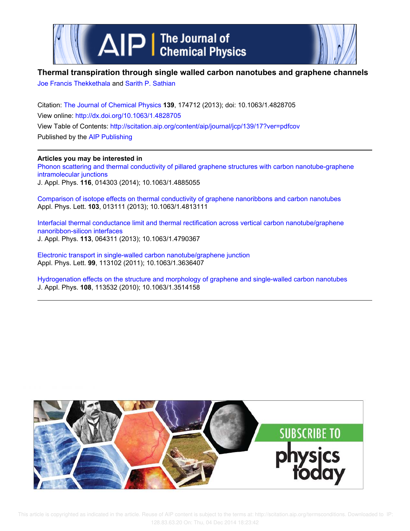

# **Thermal transpiration through single walled carbon nanotubes and graphene channels**

Joe Francis Thekkethala and Sarith P. Sathian

Citation: The Journal of Chemical Physics **139**, 174712 (2013); doi: 10.1063/1.4828705 View online: http://dx.doi.org/10.1063/1.4828705 View Table of Contents: http://scitation.aip.org/content/aip/journal/jcp/139/17?ver=pdfcov Published by the AIP Publishing

## **Articles you may be interested in**

Phonon scattering and thermal conductivity of pillared graphene structures with carbon nanotube-graphene intramolecular junctions J. Appl. Phys. **116**, 014303 (2014); 10.1063/1.4885055

Comparison of isotope effects on thermal conductivity of graphene nanoribbons and carbon nanotubes Appl. Phys. Lett. **103**, 013111 (2013); 10.1063/1.4813111

Interfacial thermal conductance limit and thermal rectification across vertical carbon nanotube/graphene nanoribbon-silicon interfaces J. Appl. Phys. **113**, 064311 (2013); 10.1063/1.4790367

Electronic transport in single-walled carbon nanotube/graphene junction Appl. Phys. Lett. **99**, 113102 (2011); 10.1063/1.3636407

Hydrogenation effects on the structure and morphology of graphene and single-walled carbon nanotubes J. Appl. Phys. **108**, 113532 (2010); 10.1063/1.3514158

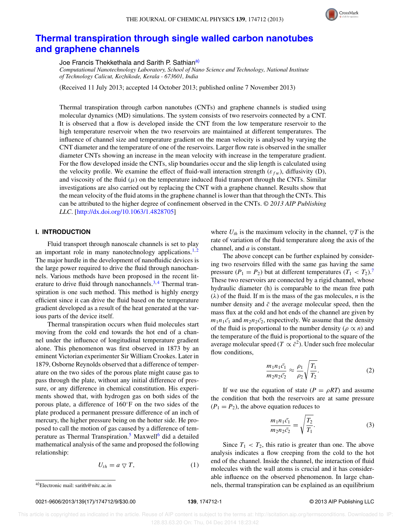

## **Thermal transpiration through single walled carbon nanotubes and graphene channels**

Joe Francis Thekkethala and Sarith P. Sathian<sup>a)</sup>

*Computational Nanotechnology Laboratory, School of Nano Science and Technology, National Institute of Technology Calicut, Kozhikode, Kerala - 673601, India*

(Received 11 July 2013; accepted 14 October 2013; published online 7 November 2013)

Thermal transpiration through carbon nanotubes (CNTs) and graphene channels is studied using molecular dynamics (MD) simulations. The system consists of two reservoirs connected by a CNT. It is observed that a flow is developed inside the CNT from the low temperature reservoir to the high temperature reservoir when the two reservoirs are maintained at different temperatures. The influence of channel size and temperature gradient on the mean velocity is analysed by varying the CNT diameter and the temperature of one of the reservoirs. Larger flow rate is observed in the smaller diameter CNTs showing an increase in the mean velocity with increase in the temperature gradient. For the flow developed inside the CNTs, slip boundaries occur and the slip length is calculated using the velocity profile. We examine the effect of fluid-wall interaction strength ( $\varepsilon_{fw}$ ), diffusivity (D), and viscosity of the fluid  $(\mu)$  on the temperature induced fluid transport through the CNTs. Similar investigations are also carried out by replacing the CNT with a graphene channel. Results show that the mean velocity of the fluid atoms in the graphene channel is lower than that through the CNTs. This can be attributed to the higher degree of confinement observed in the CNTs. *© 2013 AIP Publishing LLC*. [http://dx.doi.org/10.1063/1.4828705]

### **I. INTRODUCTION**

Fluid transport through nanoscale channels is set to play an important role in many nanotechnology applications.<sup>1,2</sup> The major hurdle in the development of nanofluidic devices is the large power required to drive the fluid through nanochannels. Various methods have been proposed in the recent literature to drive fluid through nanochannels.<sup>3,4</sup> Thermal transpiration is one such method. This method is highly energy efficient since it can drive the fluid based on the temperature gradient developed as a result of the heat generated at the various parts of the device itself.

Thermal transpiration occurs when fluid molecules start moving from the cold end towards the hot end of a channel under the influence of longitudinal temperature gradient alone. This phenomenon was first observed in 1873 by an eminent Victorian experimenter Sir William Crookes. Later in 1879, Osborne Reynolds observed that a difference of temperature on the two sides of the porous plate might cause gas to pass through the plate, without any initial difference of pressure, or any difference in chemical constitution. His experiments showed that, with hydrogen gas on both sides of the porous plate, a difference of 160◦F on the two sides of the plate produced a permanent pressure difference of an inch of mercury, the higher pressure being on the hotter side. He proposed to call the motion of gas caused by a difference of temperature as Thermal Transpiration.<sup>5</sup> Maxwell<sup>6</sup> did a detailed mathematical analysis of the same and proposed the following relationship:

$$
U_{th} = a \nabla T, \tag{1}
$$

#### 0021-9606/2013/139(17)/174712/9/\$30.00 **139**, 174712-1 © 2013 AIP Publishing LLC

where  $U_{th}$  is the maximum velocity in the channel,  $\nabla T$  is the rate of variation of the fluid temperature along the axis of the channel, and *a* is constant.

The above concept can be further explained by considering two reservoirs filled with the same gas having the same pressure  $(P_1 = P_2)$  but at different temperatures  $(T_1 < T_2)$ .<sup>7</sup> These two reservoirs are connected by a rigid channel, whose hydraulic diameter (h) is comparable to the mean free path (λ) of the fluid. If m is the mass of the gas molecules, *n* is the number density and  $\bar{c}$  the average molecular speed, then the mass flux at the cold and hot ends of the channel are given by  $m_1n_1\bar{c}_1$  and  $m_2n_2\bar{c}_2$ , respectively. We assume that the density of the fluid is proportional to the number density ( $\rho \propto n$ ) and the temperature of the fluid is proportional to the square of the average molecular speed ( $T \propto \bar{c}^2$ ). Under such free molecular flow conditions.

$$
\frac{m_1 n_1 \bar{c_1}}{m_2 n_2 \bar{c_2}} \approx \frac{\rho_1}{\rho_2} \sqrt{\frac{T_1}{T_2}}.
$$
\n(2)

If we use the equation of state  $(P = \rho RT)$  and assume the condition that both the reservoirs are at same pressure  $(P_1 = P_2)$ , the above equation reduces to

$$
\frac{m_1 n_1 \bar{c_1}}{m_2 n_2 \bar{c_2}} = \sqrt{\frac{T_2}{T_1}}.
$$
\n(3)

Since  $T_1 < T_2$ , this ratio is greater than one. The above analysis indicates a flow creeping from the cold to the hot end of the channel. Inside the channel, the interaction of fluid molecules with the wall atoms is crucial and it has considerable influence on the observed phenomenon. In large channels, thermal transpiration can be explained as an equilibrium

a)Electronic mail: sarith@nitc.ac.in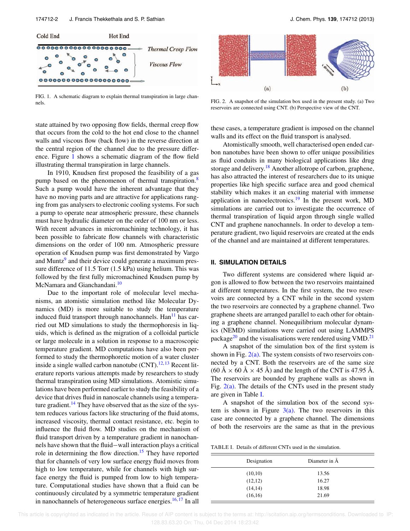

FIG. 1. A schematic diagram to explain thermal transpiration in large channels.

state attained by two opposing flow fields, thermal creep flow that occurs from the cold to the hot end close to the channel walls and viscous flow (back flow) in the reverse direction at the central region of the channel due to the pressure difference. Figure 1 shows a schematic diagram of the flow field illustrating thermal transpiration in large channels.

In 1910, Knudsen first proposed the feasibility of a gas pump based on the phenomenon of thermal transpiration.<sup>8</sup> Such a pump would have the inherent advantage that they have no moving parts and are attractive for applications ranging from gas analysers to electronic cooling systems. For such a pump to operate near atmospheric pressure, these channels must have hydraulic diameter on the order of 100 nm or less. With recent advances in micromachining technology, it has been possible to fabricate flow channels with characteristic dimensions on the order of 100 nm. Atmospheric pressure operation of Knudsen pump was first demonstrated by Vargo and Muntz<sup>9</sup> and their device could generate a maximum pressure difference of 11.5 Torr (1.5 kPa) using helium. This was followed by the first fully micromachined Knudsen pump by McNamara and Gianchandani.<sup>10</sup>

Due to the important role of molecular level mechanisms, an atomistic simulation method like Molecular Dynamics (MD) is more suitable to study the temperature induced fluid transport through nanochannels.  $\text{Han}^{11}$  has carried out MD simulations to study the thermophoresis in liquids, which is defined as the migration of a colloidal particle or large molecule in a solution in response to a macroscopic temperature gradient. MD computations have also been performed to study the thermophoretic motion of a water cluster inside a single walled carbon nanotube  $(CNT)$ .<sup>12, 13</sup> Recent literature reports various attempts made by researchers to study thermal transpiration using MD simulations. Atomistic simulations have been performed earlier to study the feasibility of a device that drives fluid in nanoscale channels using a temperature gradient.<sup>14</sup> They have observed that as the size of the system reduces various factors like structuring of the fluid atoms, increased viscosity, thermal contact resistance, etc. begin to influence the fluid flow. MD studies on the mechanism of fluid transport driven by a temperature gradient in nanochannels have shown that the fluid−wall interaction plays a critical role in determining the flow direction.<sup>15</sup> They have reported that for channels of very low surface energy fluid moves from high to low temperature, while for channels with high surface energy the fluid is pumped from low to high temperature. Computational studies have shown that a fluid can be continuously circulated by a symmetric temperature gradient in nanochannels of heterogeneous surface energies. $16, 17$  In all



FIG. 2. A snapshot of the simulation box used in the present study. (a) Two reservoirs are connected using CNT. (b) Perspective view of the CNT.

these cases, a temperature gradient is imposed on the channel walls and its effect on the fluid transport is analysed.

Atomistically smooth, well characterised open ended carbon nanotubes have been shown to offer unique possibilities as fluid conduits in many biological applications like drug storage and delivery.<sup>18</sup> Another allotrope of carbon, graphene, has also attracted the interest of researchers due to its unique properties like high specific surface area and good chemical stability which makes it an exciting material with immense application in nanoelectronics.<sup>19</sup> In the present work, MD simulations are carried out to investigate the occurrence of thermal transpiration of liquid argon through single walled CNT and graphene nanochannels. In order to develop a temperature gradient, two liquid reservoirs are created at the ends of the channel and are maintained at different temperatures.

#### **II. SIMULATION DETAILS**

Two different systems are considered where liquid argon is allowed to flow between the two reservoirs maintained at different temperatures. In the first system, the two reservoirs are connected by a CNT while in the second system the two reservoirs are connected by a graphene channel. Two graphene sheets are arranged parallel to each other for obtaining a graphene channel. Nonequilibrium molecular dynamics (NEMD) simulations were carried out using LAMMPS package $^{20}$  and the visualisations were rendered using VMD.<sup>21</sup>

A snapshot of the simulation box of the first system is shown in Fig.  $2(a)$ . The system consists of two reservoirs connected by a CNT. Both the reservoirs are of the same size  $(60 \text{ Å} \times 60 \text{ Å} \times 45 \text{ Å})$  and the length of the CNT is 47.95 Å. The reservoirs are bounded by graphene walls as shown in Fig.  $2(a)$ . The details of the CNTs used in the present study are given in Table I.

A snapshot of the simulation box of the second system is shown in Figure  $3(a)$ . The two reservoirs in this case are connected by a graphene channel. The dimensions of both the reservoirs are the same as that in the previous

TABLE I. Details of different CNTs used in the simulation.

| Designation | Diameter in Å |  |
|-------------|---------------|--|
| (10,10)     | 13.56         |  |
| (12,12)     | 16.27         |  |
| (14, 14)    | 18.98         |  |
| (16,16)     | 21.69         |  |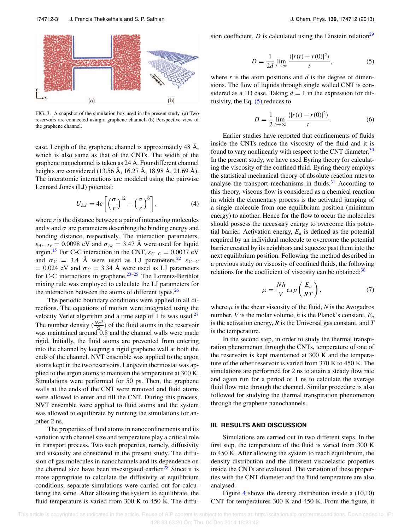case. Length of the graphene channel is approximately 48 Å, which is also same as that of the CNTs. The width of the graphene nanochannel is taken as 24 Å. Four different channel heights are considered (13.56 Å, 16.27 Å, 18.98 Å, 21.69 Å). The interatomic interactions are modeled using the pairwise Lennard Jones (LJ) potential:

$$
U_{LJ} = 4\varepsilon \left[ \left( \frac{\sigma}{r} \right)^{12} - \left( \frac{\sigma}{r} \right)^6 \right],\tag{4}
$$

where *r* is the distance between a pair of interacting molecules and  $\varepsilon$  and  $\sigma$  are parameters describing the binding energy and bonding distance, respectively. The interaction parameters,  $\varepsilon_{Ar-Ar} = 0.0098$  eV and  $\sigma_{Ar} = 3.47$  Å were used for liquid argon.<sup>15</sup> For C-C interaction in the CNT,  $\varepsilon_{C-C} = 0.0037$  eV and  $\sigma_C$  = 3.4 Å were used as LJ parameters.<sup>22</sup>  $\varepsilon_{C-C}$  $= 0.024$  eV and  $\sigma_C = 3.34$  Å were used as LJ parameters for C-C interactions in graphene.<sup>23-25</sup> The Lorentz-Berthlot mixing rule was employed to calculate the LJ parameters for the interaction between the atoms of different types. $26$ 

The periodic boundary conditions were applied in all directions. The equations of motion were integrated using the velocity Verlet algorithm and a time step of 1 fs was used. $27$ The number density  $(\frac{N\sigma^3}{\Omega})$  of the fluid atoms in the reservoir was maintained around 0.8 and the channel walls were made rigid. Initially, the fluid atoms are prevented from entering into the channel by keeping a rigid graphene wall at both the ends of the channel. NVT ensemble was applied to the argon atoms kept in the two reservoirs. Langevin thermostat was applied to the argon atoms to maintain the temperature at 300 K. Simulations were performed for 50 ps. Then, the graphene walls at the ends of the CNT were removed and fluid atoms were allowed to enter and fill the CNT. During this process, NVT ensemble were applied to fluid atoms and the system was allowed to equilibrate by running the simulations for another 2 ns.

The properties of fluid atoms in nanoconfinements and its variation with channel size and temperature play a critical role in transport process. Two such properties, namely, diffusivity and viscosity are considered in the present study. The diffusion of gas molecules in nanochannels and its dependence on the channel size have been investigated earlier.<sup>28</sup> Since it is more appropriate to calculate the diffusivity at equilibrium conditions, separate simulations were carried out for calculating the same. After allowing the system to equilibrate, the fluid temperature is varied from 300 K to 450 K. The diffusion coefficient,  $D$  is calculated using the Einstein relation<sup>29</sup>

$$
D = \frac{1}{2d} \lim_{t \to \infty} \frac{\langle |r(t) - r(0)|^2 \rangle}{t},\tag{5}
$$

where  $r$  is the atom positions and  $d$  is the degree of dimensions. The flow of liquids through single walled CNT is considered as a 1D case. Taking  $d = 1$  in the expression for diffusivity, the Eq.  $(5)$  reduces to

$$
D = \frac{1}{2} \lim_{t \to \infty} \frac{\langle |r(t) - r(0)|^2 \rangle}{t}.
$$
 (6)

Earlier studies have reported that confinements of fluids inside the CNTs reduce the viscosity of the fluid and it is found to vary nonlinearly with respect to the CNT diameter. $30$ In the present study, we have used Eyring theory for calculating the viscosity of the confined fluid. Eyring theory employs the statistical mechanical theory of absolute reaction rates to analyse the transport mechanisms in fluids. $31$  According to this theory, viscous flow is considered as a chemical reaction in which the elementary process is the activated jumping of a single molecule from one equilibrium position (minimum energy) to another. Hence for the flow to occur the molecules should possess the necessary energy to overcome this potential barrier. Activation energy,  $E_a$  is defined as the potential required by an individual molecule to overcome the potential barrier created by its neighbors and squeeze past them into the next equilibrium position. Following the method described in a previous study on viscosity of confined fluids, the following relations for the coefficient of viscosity can be obtained: $30$ 

$$
\mu = \frac{Nh}{V} \exp\left(\frac{E_a}{RT}\right),\tag{7}
$$

where  $\mu$  is the shear viscosity of the fluid,  $N$  is the Avogadros number, *V* is the molar volume, *h* is the Planck's constant,  $E_a$ is the activation energy, *R* is the Universal gas constant, and *T* is the temperature.

In the second step, in order to study the thermal transpiration phenomenon through the CNTs, temperature of one of the reservoirs is kept maintained at 300 K and the temperature of the other reservoir is varied from 370 K to 450 K. The simulations are performed for 2 ns to attain a steady flow rate and again run for a period of 1 ns to calculate the average fluid flow rate through the channel. Similar procedure is also followed for studying the thermal transpiration phenomenon through the graphene nanochannels.

### **III. RESULTS AND DISCUSSION**

Simulations are carried out in two different steps. In the first step, the temperature of the fluid is varied from 300 K to 450 K. After allowing the system to reach equilibrium, the density distribution and the different viscoelastic properties inside the CNTs are evaluated. The variation of these properties with the CNT diameter and the fluid temperature are also analysed.

Figure 4 shows the density distribution inside a (10,10) CNT for temperatures 300 K and 450 K. From the figure, it





FIG. 3. A snapshot of the simulation box used in the present study. (a) Two reservoirs are connected using a graphene channel. (b) Perspective view of

the graphene channel.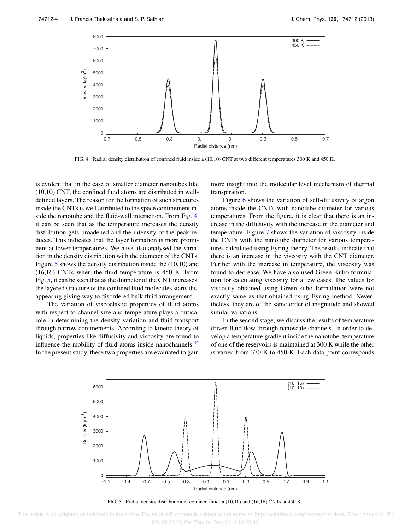

FIG. 4. Radial density distribution of confined fluid inside a (10,10) CNT at two different temperatures 300 K and 450 K.

is evident that in the case of smaller diameter nanotubes like (10,10) CNT, the confined fluid atoms are distributed in welldefined layers. The reason for the formation of such structures inside the CNTs is well attributed to the space confinement inside the nanotube and the fluid-wall interaction. From Fig. 4, it can be seen that as the temperature increases the density distribution gets broadened and the intensity of the peak reduces. This indicates that the layer formation is more prominent at lower temperatures. We have also analysed the variation in the density distribution with the diameter of the CNTs. Figure 5 shows the density distribution inside the (10,10) and (16,16) CNTs when the fluid temperature is 450 K. From Fig. 5, it can be seen that as the diameter of the CNT increases, the layered structure of the confined fluid molecules starts disappearing giving way to disordered bulk fluid arrangement.

The variation of viscoelastic properties of fluid atoms with respect to channel size and temperature plays a critical role in determining the density variation and fluid transport through narrow confinements. According to kinetic theory of liquids, properties like diffusivity and viscosity are found to influence the mobility of fluid atoms inside nanochannels. $32$ In the present study, these two properties are evaluated to gain more insight into the molecular level mechanism of thermal transpiration.

Figure 6 shows the variation of self-diffusivity of argon atoms inside the CNTs with nanotube diameter for various temperatures. From the figure, it is clear that there is an increase in the diffusivity with the increase in the diameter and temperature. Figure 7 shows the variation of viscosity inside the CNTs with the nanotube diameter for various temperatures calculated using Eyring theory. The results indicate that there is an increase in the viscosity with the CNT diameter. Further with the increase in temperature, the viscosity was found to decrease. We have also used Green-Kubo formulation for calculating viscosity for a few cases. The values for viscosity obtained using Green-kubo formulation were not exactly same as that obtained using Eyring method. Nevertheless, they are of the same order of magnitude and showed similar variations.

In the second stage, we discuss the results of temperature driven fluid flow through nanoscale channels. In order to develop a temperature gradient inside the nanotube, temperature of one of the reservoirs is maintained at 300 K while the other is varied from 370 K to 450 K. Each data point corresponds



FIG. 5. Radial density distribution of confined fluid in (10,10) and (16,16) CNTs at 450 K.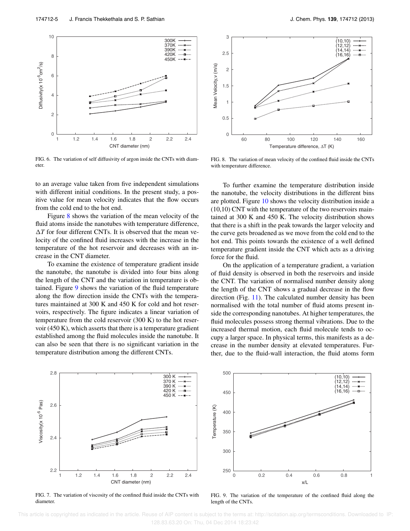

FIG. 6. The variation of self diffusivity of argon inside the CNTs with diameter.

to an average value taken from five independent simulations with different initial conditions. In the present study, a positive value for mean velocity indicates that the flow occurs from the cold end to the hot end.

Figure 8 shows the variation of the mean velocity of the fluid atoms inside the nanotubes with temperature difference,  $\Delta T$  for four different CNTs. It is observed that the mean velocity of the confined fluid increases with the increase in the temperature of the hot reservoir and decreases with an increase in the CNT diameter.

To examine the existence of temperature gradient inside the nanotube, the nanotube is divided into four bins along the length of the CNT and the variation in temperature is obtained. Figure  $9$  shows the variation of the fluid temperature along the flow direction inside the CNTs with the temperatures maintained at 300 K and 450 K for cold and hot reservoirs, respectively. The figure indicates a linear variation of temperature from the cold reservoir (300 K) to the hot reservoir (450 K), which asserts that there is a temperature gradient established among the fluid molecules inside the nanotube. It can also be seen that there is no significant variation in the temperature distribution among the different CNTs.



FIG. 8. The variation of mean velocity of the confined fluid inside the CNTs with temperature difference.

To further examine the temperature distribution inside the nanotube, the velocity distributions in the different bins are plotted. Figure 10 shows the velocity distribution inside a (10,10) CNT with the temperature of the two reservoirs maintained at 300 K and 450 K. The velocity distribution shows that there is a shift in the peak towards the larger velocity and the curve gets broadened as we move from the cold end to the hot end. This points towards the existence of a well defined temperature gradient inside the CNT which acts as a driving force for the fluid.

On the application of a temperature gradient, a variation of fluid density is observed in both the reservoirs and inside the CNT. The variation of normalised number density along the length of the CNT shows a gradual decrease in the flow direction (Fig. 11). The calculated number density has been normalised with the total number of fluid atoms present inside the corresponding nanotubes. At higher temperatures, the fluid molecules possess strong thermal vibrations. Due to the increased thermal motion, each fluid molecule tends to occupy a larger space. In physical terms, this manifests as a decrease in the number density at elevated temperatures. Further, due to the fluid-wall interaction, the fluid atoms form



FIG. 7. The variation of viscosity of the confined fluid inside the CNTs with diameter.

FIG. 9. The variation of the temperature of the confined fluid along the length of the CNTs.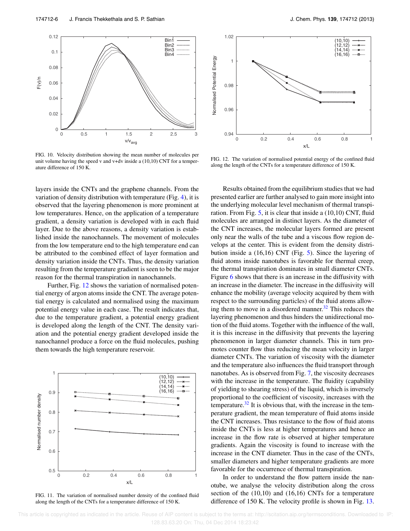

FIG. 10. Velocity distribution showing the mean number of molecules per unit volume having the speed v and v+dv inside a  $(10,10)$  CNT for a temperature difference of 150 K.

layers inside the CNTs and the graphene channels. From the variation of density distribution with temperature (Fig. 4), it is observed that the layering phenomenon is more prominent at low temperatures. Hence, on the application of a temperature gradient, a density variation is developed with in each fluid layer. Due to the above reasons, a density variation is established inside the nanochannels. The movement of molecules from the low temperature end to the high temperature end can be attributed to the combined effect of layer formation and density variation inside the CNTs. Thus, the density variation resulting from the temperature gradient is seen to be the major reason for the thermal transpiration in nanochannels.

Further, Fig. 12 shows the variation of normalised potential energy of argon atoms inside the CNT. The average potential energy is calculated and normalised using the maximum potential energy value in each case. The result indicates that, due to the temperature gradient, a potential energy gradient is developed along the length of the CNT. The density variation and the potential energy gradient developed inside the nanochannel produce a force on the fluid molecules, pushing them towards the high temperature reservoir.



FIG. 11. The variation of normalised number density of the confined fluid along the length of the CNTs for a temperature difference of 150 K.



FIG. 12. The variation of normalised potential energy of the confined fluid along the length of the CNTs for a temperature difference of 150 K.

Results obtained from the equilibrium studies that we had presented earlier are further analysed to gain more insight into the underlying molecular level mechanism of thermal transpiration. From Fig. 5, it is clear that inside a (10,10) CNT, fluid molecules are arranged in distinct layers. As the diameter of the CNT increases, the molecular layers formed are present only near the walls of the tube and a viscous flow region develops at the center. This is evident from the density distribution inside a (16,16) CNT (Fig. 5). Since the layering of fluid atoms inside nanotubes is favorable for thermal creep, the thermal transpiration dominates in small diameter CNTs. Figure 6 shows that there is an increase in the diffusivity with an increase in the diameter. The increase in the diffusivity will enhance the mobility (average velocity acquired by them with respect to the surrounding particles) of the fluid atoms allowing them to move in a disordered manner.<sup>32</sup> This reduces the layering phenomenon and thus hinders the unidirectional motion of the fluid atoms. Together with the influence of the wall, it is this increase in the diffusivity that prevents the layering phenomenon in larger diameter channels. This in turn promotes counter flow thus reducing the mean velocity in larger diameter CNTs. The variation of viscosity with the diameter and the temperature also influences the fluid transport through nanotubes. As is observed from Fig. 7, the viscosity decreases with the increase in the temperature. The fluidity (capability of yielding to shearing stress) of the liquid, which is inversely proportional to the coefficient of viscosity, increases with the temperature. $32$  It is obvious that, with the increase in the temperature gradient, the mean temperature of fluid atoms inside the CNT increases. Thus resistance to the flow of fluid atoms inside the CNTs is less at higher temperatures and hence an increase in the flow rate is observed at higher temperature gradients. Again the viscosity is found to increase with the increase in the CNT diameter. Thus in the case of the CNTs, smaller diameters and higher temperature gradients are more favorable for the occurrence of thermal transpiration.

In order to understand the flow pattern inside the nanotube, we analyse the velocity distribution along the cross section of the (10,10) and (16,16) CNTs for a temperature difference of 150 K. The velocity profile is shown in Fig. 13.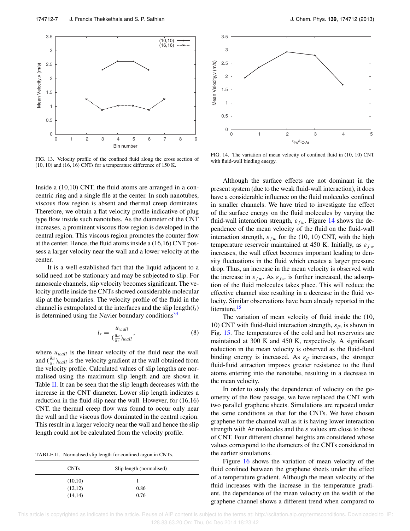

FIG. 13. Velocity profile of the confined fluid along the cross section of (10, 10) and (16, 16) CNTs for a temperature difference of 150 K.

Inside a (10,10) CNT, the fluid atoms are arranged in a concentric ring and a single file at the center. In such nanotubes, viscous flow region is absent and thermal creep dominates. Therefore, we obtain a flat velocity profile indicative of plug type flow inside such nanotubes. As the diameter of the CNT increases, a prominent viscous flow region is developed in the central region. This viscous region promotes the counter flow at the center. Hence, the fluid atoms inside a (16,16) CNT possess a larger velocity near the wall and a lower velocity at the center.

It is a well established fact that the liquid adjacent to a solid need not be stationary and may be subjected to slip. For nanoscale channels, slip velocity becomes significant. The velocity profile inside the CNTs showed considerable molecular slip at the boundaries. The velocity profile of the fluid in the channel is extrapolated at the interfaces and the slip length $(l_s)$ is determined using the Navier boundary conditions<sup>33</sup>

$$
l_s = \frac{u_{wall}}{(\frac{\partial u}{\partial z})_{wall}},\tag{8}
$$

where  $u_{wall}$  is the linear velocity of the fluid near the wall and  $(\frac{\partial u}{\partial z})_{wall}$  is the velocity gradient at the wall obtained from the velocity profile. Calculated values of slip lengths are normalised using the maximum slip length and are shown in Table II. It can be seen that the slip length decreases with the increase in the CNT diameter. Lower slip length indicates a reduction in the fluid slip near the wall. However, for (16,16) CNT, the thermal creep flow was found to occur only near the wall and the viscous flow dominated in the central region. This result in a larger velocity near the wall and hence the slip length could not be calculated from the velocity profile.

TABLE II. Normalised slip length for confined argon in CNTs.

| <b>CNTs</b> | Slip length (normalised) |
|-------------|--------------------------|
| (10,10)     |                          |
| (12,12)     | 0.86                     |
| (14, 14)    | 0.76                     |



FIG. 14. The variation of mean velocity of confined fluid in (10, 10) CNT with fluid-wall binding energy.

Although the surface effects are not dominant in the present system (due to the weak fluid-wall interaction), it does have a considerable influence on the fluid molecules confined in smaller channels. We have tried to investigate the effect of the surface energy on the fluid molecules by varying the fluid-wall interaction strength,  $\varepsilon_{fw}$ . Figure 14 shows the dependence of the mean velocity of the fluid on the fluid-wall interaction strength,  $\varepsilon_{fw}$  for the (10, 10) CNT, with the high temperature reservoir maintained at 450 K. Initially, as  $\varepsilon_{fw}$ increases, the wall effect becomes important leading to density fluctuations in the fluid which creates a larger pressure drop. Thus, an increase in the mean velocity is observed with the increase in  $\varepsilon_{fw}$ . As  $\varepsilon_{fw}$  is further increased, the adsorption of the fluid molecules takes place. This will reduce the effective channel size resulting in a decrease in the fluid velocity. Similar observations have been already reported in the literature.<sup>15</sup>

The variation of mean velocity of fluid inside the (10, 10) CNT with fluid-fluid interaction strength,  $\varepsilon_{ff}$ , is shown in Fig. 15. The temperatures of the cold and hot reservoirs are maintained at 300 K and 450 K, respectively. A significant reduction in the mean velocity is observed as the fluid-fluid binding energy is increased. As  $\varepsilon_f$  increases, the stronger fluid-fluid attraction imposes greater resistance to the fluid atoms entering into the nanotube, resulting in a decrease in the mean velocity.

In order to study the dependence of velocity on the geometry of the flow passage, we have replaced the CNT with two parallel graphene sheets. Simulations are repeated under the same conditions as that for the CNTs. We have chosen graphene for the channel wall as it is having lower interaction strength with Ar molecules and the  $\varepsilon$  values are close to those of CNT. Four different channel heights are considered whose values correspond to the diameters of the CNTs considered in the earlier simulations.

Figure 16 shows the variation of mean velocity of the fluid confined between the graphene sheets under the effect of a temperature gradient. Although the mean velocity of the fluid increases with the increase in the temperature gradient, the dependence of the mean velocity on the width of the graphene channel shows a different trend when compared to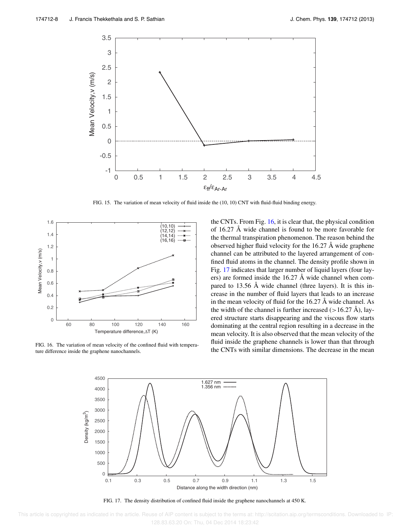

FIG. 15. The variation of mean velocity of fluid inside the (10, 10) CNT with fluid-fluid binding energy.



FIG. 16. The variation of mean velocity of the confined fluid with temperature difference inside the graphene nanochannels.

the CNTs. From Fig. 16, it is clear that, the physical condition of 16.27 Å wide channel is found to be more favorable for the thermal transpiration phenomenon. The reason behind the observed higher fluid velocity for the 16.27 Å wide graphene channel can be attributed to the layered arrangement of confined fluid atoms in the channel. The density profile shown in Fig. 17 indicates that larger number of liquid layers (four layers) are formed inside the 16.27 Å wide channel when compared to 13.56 Å wide channel (three layers). It is this increase in the number of fluid layers that leads to an increase in the mean velocity of fluid for the 16.27 Å wide channel. As the width of the channel is further increased ( $>16.27$  Å), layered structure starts disappearing and the viscous flow starts dominating at the central region resulting in a decrease in the mean velocity. It is also observed that the mean velocity of the fluid inside the graphene channels is lower than that through the CNTs with similar dimensions. The decrease in the mean



FIG. 17. The density distribution of confined fluid inside the graphene nanochannels at 450 K.